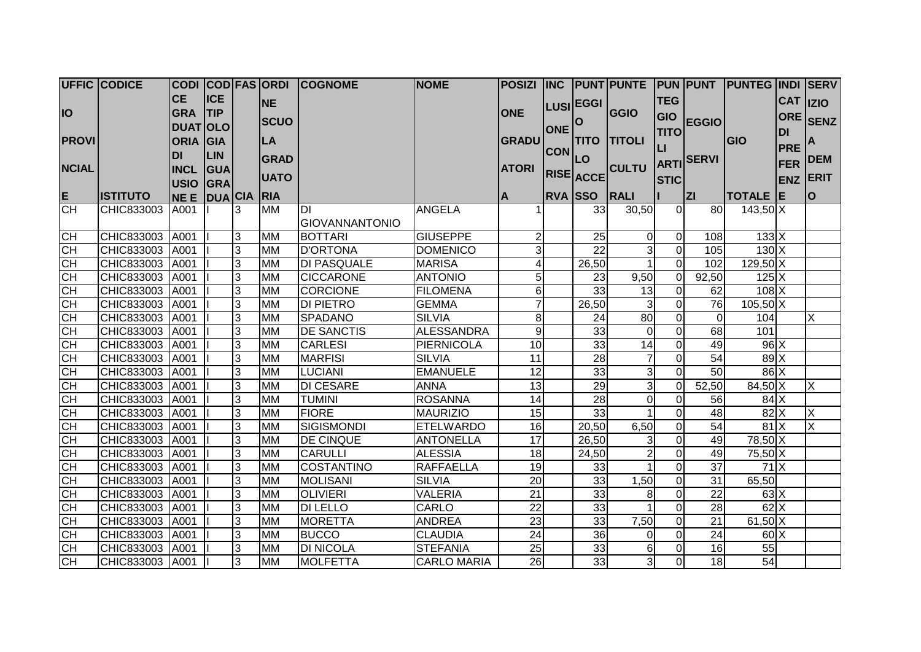|              | <b>UFFIC CODICE</b> |                  |            |   |             | CODI COD FAS ORDI COGNOME | <b>NOME</b>        | <b>POSIZI</b>   |            |                 | INC PUNT PUNTE PUN PUNT |                |                  | <b>PUNTEG INDI SERV</b>    |            |                         |
|--------------|---------------------|------------------|------------|---|-------------|---------------------------|--------------------|-----------------|------------|-----------------|-------------------------|----------------|------------------|----------------------------|------------|-------------------------|
|              |                     | <b>CE</b>        | <b>ICE</b> |   | <b>NE</b>   |                           |                    |                 |            | LUSI EGGI       |                         | <b>TEG</b>     |                  |                            |            | CAT IZIO                |
| <b>IO</b>    |                     | <b>GRA</b>       | ITIP       |   |             |                           |                    | <b>ONE</b>      |            |                 | GGIO                    | GIO            |                  |                            | <b>ORE</b> |                         |
|              |                     | <b>DUATOLO</b>   |            |   | <b>SCUO</b> |                           |                    |                 | <b>ONE</b> | O               |                         | <b>TITO</b>    | <b>EGGIO</b>     |                            | <b>DI</b>  | <b>SENZ</b>             |
| <b>PROVI</b> |                     | <b>ORIA GIA</b>  |            |   | LA          |                           |                    | <b>GRADU</b>    |            |                 | <b>TITO TITOLI</b>      |                |                  | GIO                        | <b>PRE</b> | A                       |
|              |                     | <b>DI</b>        | <b>LIN</b> |   | <b>GRAD</b> |                           |                    |                 | <b>CON</b> | LO              |                         | $\mathsf{L}$   | <b>ARTISERVI</b> |                            |            | <b>DEM</b>              |
| <b>NCIAL</b> |                     | <b>INCL GUA</b>  |            |   |             |                           |                    | <b>ATORI</b>    |            |                 | <b>CULTU</b>            |                |                  |                            | FER        |                         |
|              |                     | USIO GRA         |            |   | <b>UATO</b> |                           |                    |                 |            | RISE ACCE       |                         | <b>STIC</b>    |                  |                            | <b>ENZ</b> | <b>ERIT</b>             |
| E.           | <b>ISTITUTO</b>     | NE E DUA CIA RIA |            |   |             |                           |                    | $\overline{A}$  |            | <b>RVA SSO</b>  | RALI                    |                | <b>ZI</b>        | TOTALE E                   |            | lo.                     |
| CH           | CHIC833003          | A001             |            | 3 | <b>MM</b>   | IЫ                        | <b>ANGELA</b>      |                 |            | 33              | 30,50                   | $\Omega$       | 80               | $143,50$ X                 |            |                         |
|              |                     |                  |            |   |             | <b>GIOVANNANTONIO</b>     |                    |                 |            |                 |                         |                |                  |                            |            |                         |
| CH           | CHIC833003          | A001             |            | 3 | <b>MM</b>   | <b>BOTTARI</b>            | <b>GIUSEPPE</b>    |                 |            | 25              | $\overline{0}$          | $\mathbf 0$    | 108              | $133$ X                    |            |                         |
| CH           | CHIC833003          | A001             |            | 3 | <b>MM</b>   | <b>D'ORTONA</b>           | <b>DOMENICO</b>    | 3               |            | 22              | $\overline{3}$          | $\overline{0}$ | 105              | $130$ X                    |            |                         |
| <b>CH</b>    | CHIC833003          | A001             |            | 3 | <b>MM</b>   | <b>DI PASQUALE</b>        | <b>MARISA</b>      |                 |            | 26,50           |                         | $\overline{0}$ | 102              | 129,50 X                   |            |                         |
| <b>CH</b>    | CHIC833003          | A001             |            | 3 | <b>MM</b>   | <b>CICCARONE</b>          | <b>ANTONIO</b>     | $5 \mid$        |            | 23              | 9,50                    | $\overline{0}$ | 92,50            | $125\overline{\mathrm{X}}$ |            |                         |
| <b>CH</b>    | CHIC833003          | A001             |            | 3 | <b>MM</b>   | <b>CORCIONE</b>           | <b>FILOMENA</b>    | $6 \mid$        |            | 33              | 13                      | $\Omega$       | 62               | $108\overline{X}$          |            |                         |
| <b>CH</b>    | CHIC833003          | A001             |            | 3 | <b>MM</b>   | <b>DI PIETRO</b>          | <b>GEMMA</b>       | 7               |            | 26,50           | $\overline{3}$          | $\overline{0}$ | 76               | $105,50$ X                 |            |                         |
| <b>CH</b>    | CHIC833003          | A001             |            | 3 | <b>MM</b>   | SPADANO                   | <b>SILVIA</b>      | 8 <sup>1</sup>  |            | 24              | 80                      | $\mathbf 0$    | $\overline{0}$   | 104                        |            | Χ                       |
| <b>CH</b>    | CHIC833003          | A001             |            | 3 | <b>MM</b>   | <b>DE SANCTIS</b>         | <b>ALESSANDRA</b>  | 9               |            | 33              | $\overline{0}$          | $\overline{0}$ | 68               | 101                        |            |                         |
| CH           | CHIC833003          | A001             |            | 3 | <b>MM</b>   | <b>CARLESI</b>            | <b>PIERNICOLA</b>  | 10              |            | 33              | 14                      | $\Omega$       | 49               | $96$ $X$                   |            |                         |
| <b>CH</b>    | CHIC833003          | A001             |            | 3 | <b>MM</b>   | <b>MARFISI</b>            | <b>SILVIA</b>      | 11              |            | $\overline{28}$ | $\overline{7}$          | $\overline{0}$ | 54               | 89X                        |            |                         |
| CH           | CHIC833003          | A001             |            | 3 | <b>MM</b>   | <b>LUCIANI</b>            | <b>EMANUELE</b>    | $\overline{12}$ |            | 33              | $\overline{3}$          | $\Omega$       | 50               | $86 \times$                |            |                         |
| CH           | CHIC833003          | A001             |            | 3 | <b>MM</b>   | <b>DI CESARE</b>          | <b>ANNA</b>        | 13              |            | $\overline{29}$ | $\overline{3}$          | $\overline{0}$ | 52,50            | 84,50 X                    |            | X                       |
| CH           | CHIC833003          | A001             |            | 3 | <b>MM</b>   | <b>TUMINI</b>             | <b>ROSANNA</b>     | 14              |            | 28              | $\overline{O}$          | $\overline{0}$ | 56               | 84X                        |            |                         |
| CH           | CHIC833003          | A001             |            | 3 | <b>MM</b>   | <b>FIORE</b>              | <b>MAURIZIO</b>    | 15              |            | 33              |                         | $\overline{0}$ | $\overline{48}$  | $82$ $X$                   |            | $\overline{X}$          |
| <b>CH</b>    | CHIC833003          | A001             |            | 3 | <b>MM</b>   | <b>SIGISMONDI</b>         | <b>ETELWARDO</b>   | 16              |            | 20,50           | 6,50                    | $\overline{0}$ | $\overline{54}$  | $81$ $X$                   |            | $\overline{\mathsf{x}}$ |
| CH           | CHIC833003          | A001             |            | 3 | <b>MM</b>   | <b>DE CINQUE</b>          | <b>ANTONELLA</b>   | $\overline{17}$ |            | 26,50           | $\overline{3}$          | $\overline{0}$ | 49               | $78,50$ X                  |            |                         |
| <b>CH</b>    | CHIC833003          | A001             |            | 3 | <b>MM</b>   | <b>CARULLI</b>            | <b>ALESSIA</b>     | 18              |            | 24,50           | $\mathbf{2}$            | $\overline{0}$ | 49               | 75,50 X                    |            |                         |
| <b>CH</b>    | CHIC833003          | A001             |            | 3 | <b>MM</b>   | <b>COSTANTINO</b>         | <b>RAFFAELLA</b>   | 19              |            | 33              | $\mathbf{1}$            | $\overline{0}$ | $\overline{37}$  | 71X                        |            |                         |
| <b>CH</b>    | CHIC833003          | A001             |            | 3 | <b>MM</b>   | <b>MOLISANI</b>           | <b>SILVIA</b>      | 20              |            | 33              | 1,50                    | $\overline{0}$ | 31               | $\overline{6}5,50$         |            |                         |
| <b>CH</b>    | CHIC833003          | A001             |            | 3 | <b>MM</b>   | <b>OLIVIERI</b>           | <b>VALERIA</b>     | $\overline{21}$ |            | 33              | 8                       | $\Omega$       | 22               | $63\text{X}$               |            |                         |
| CH           | CHIC833003          | A001             |            | 3 | <b>MM</b>   | <b>DI LELLO</b>           | CARLO              | 22              |            | 33              | 1                       | 0              | 28               | 62X                        |            |                         |
| <b>CH</b>    | CHIC833003          | A001             |            | 3 | <b>MM</b>   | <b>MORETTA</b>            | <b>ANDREA</b>      | 23              |            | 33              | 7,50                    | $\overline{0}$ | $\overline{21}$  | $61,50$ X                  |            |                         |
| CH           | CHIC833003          | A001             |            | 3 | <b>MM</b>   | <b>BUCCO</b>              | <b>CLAUDIA</b>     | 24              |            | 36              | $\overline{0}$          | $\overline{0}$ | 24               | 60X                        |            |                         |
| <b>CH</b>    | CHIC833003          | A001             |            | 3 | <b>MM</b>   | <b>DI NICOLA</b>          | <b>STEFANIA</b>    | 25              |            | 33              | 6                       | $\overline{0}$ | 16               | 55                         |            |                         |
| CH           | CHIC833003 A001     |                  |            | 3 | <b>MM</b>   | <b>MOLFETTA</b>           | <b>CARLO MARIA</b> | 26              |            | 33              | 3                       | $\Omega$       | 18               | 54                         |            |                         |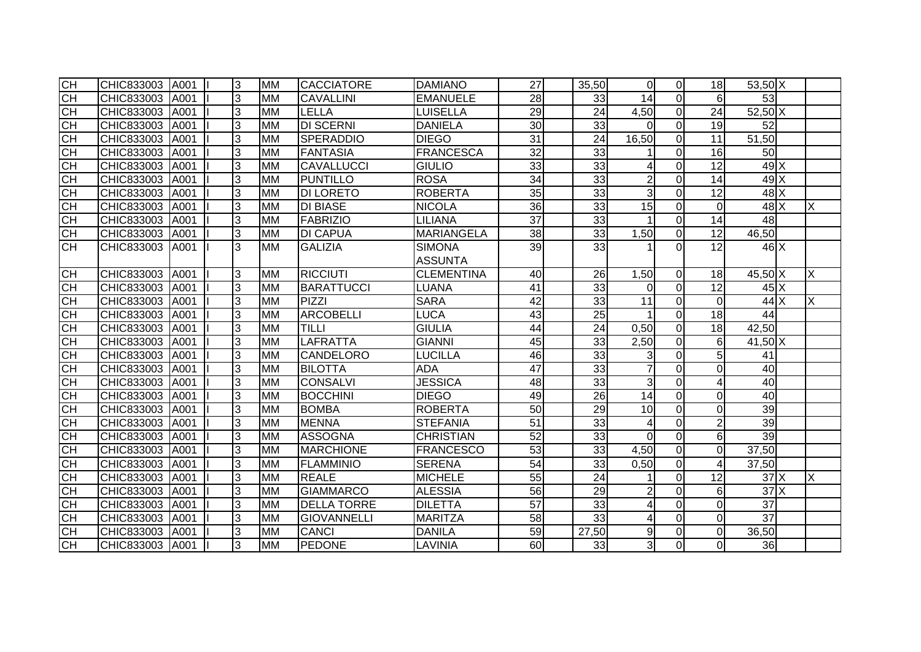| СH              | CHIC833003 | A001 | 3 | <b>MM</b> | <b>CACCIATORE</b>  | <b>DAMIANO</b>    | 27              | 35,50           | $\overline{0}$  | $\overline{0}$ | 18              | $53,50$ X          |   |
|-----------------|------------|------|---|-----------|--------------------|-------------------|-----------------|-----------------|-----------------|----------------|-----------------|--------------------|---|
| CH              | CHIC833003 | A001 | 3 | <b>MM</b> | <b>CAVALLINI</b>   | <b>EMANUELE</b>   | $\overline{28}$ | 33              | $\overline{14}$ | $\Omega$       | 6               | 53                 |   |
| СH              | CHIC833003 | A001 | 3 | <b>MM</b> | LELLA              | <b>LUISELLA</b>   | 29              | 24              | 4,50            | $\overline{0}$ | 24              | 52,50 X            |   |
| <b>CH</b>       | CHIC833003 | A001 | 3 | <b>MM</b> | <b>DI SCERNI</b>   | <b>DANIELA</b>    | $\overline{30}$ | 33              | $\Omega$        | $\Omega$       | 19              | 52                 |   |
| CH              | CHIC833003 | A001 | 3 | <b>MM</b> | <b>SPERADDIO</b>   | <b>DIEGO</b>      | 31              | 24              | 16,50           | $\Omega$       | 11              | $\overline{5}1,50$ |   |
| CH              | CHIC833003 | A001 | 3 | <b>MM</b> | <b>FANTASIA</b>    | <b>FRANCESCA</b>  | $\overline{32}$ | 33              |                 | $\overline{0}$ | 16              | 50                 |   |
| <b>CH</b>       | CHIC833003 | A001 | 3 | <b>MM</b> | <b>CAVALLUCCI</b>  | <b>GIULIO</b>     | 33              | 33              | 4               | $\overline{0}$ | 12              | 49X                |   |
| $\overline{CH}$ | CHIC833003 | A001 | 3 | <b>MM</b> | <b>PUNTILLO</b>    | <b>ROSA</b>       | $\overline{34}$ | 33              | $\overline{2}$  | $\Omega$       | 14              | 49X                |   |
| <b>CH</b>       | CHIC833003 | A001 | 3 | <b>MM</b> | <b>DI LORETO</b>   | <b>ROBERTA</b>    | 35              | 33              | $\overline{3}$  | $\Omega$       | 12              | $48$ $X$           |   |
| CH              | CHIC833003 | A001 | 3 | <b>MM</b> | <b>DI BIASE</b>    | <b>NICOLA</b>     | 36              | 33              | 15              | $\overline{0}$ | $\Omega$        | $48$ $X$           | X |
| СH              | CHIC833003 | A001 | 3 | <b>MM</b> | <b>FABRIZIO</b>    | <b>LILIANA</b>    | 37              | 33              | 1               | $\Omega$       | 14              | 48                 |   |
| <b>CH</b>       | CHIC833003 | A001 | 3 | <b>MM</b> | <b>DI CAPUA</b>    | <b>MARIANGELA</b> | 38              | 33              | 1,50            | $\overline{0}$ | 12              | 46,50              |   |
| СH              | CHIC833003 | A001 | 3 | <b>MM</b> | <b>GALIZIA</b>     | <b>SIMONA</b>     | 39              | 33              |                 | $\Omega$       | 12              | $46 \times$        |   |
|                 |            |      |   |           |                    | <b>ASSUNTA</b>    |                 |                 |                 |                |                 |                    |   |
| CH              | CHIC833003 | A001 | 3 | <b>MM</b> | <b>RICCIUTI</b>    | <b>CLEMENTINA</b> | 40              | 26              | 1,50            | $\Omega$       | 18              | 45,50 X            | X |
| СH              | CHIC833003 | A001 | 3 | <b>MM</b> | <b>BARATTUCCI</b>  | <b>LUANA</b>      | 41              | 33              | $\Omega$        | $\overline{0}$ | 12              | $45\text{X}$       |   |
| СH              | CHIC833003 | A001 | 3 | <b>MM</b> | <b>PIZZI</b>       | <b>SARA</b>       | 42              | 33              | 11              | $\overline{0}$ | $\Omega$        | 44 X               | X |
| CH              | CHIC833003 | A001 | 3 | <b>MM</b> | <b>ARCOBELLI</b>   | LUCA              | 43              | 25              | 1               | $\overline{0}$ | 18              | 44                 |   |
| <b>CH</b>       | CHIC833003 | A001 | 3 | <b>MM</b> | <b>TILLI</b>       | <b>GIULIA</b>     | 44              | 24              | 0,50            | $\overline{0}$ | 18              | 42,50              |   |
| <b>CH</b>       | CHIC833003 | A001 | 3 | <b>MM</b> | <b>LAFRATTA</b>    | <b>GIANNI</b>     | 45              | 33              | 2,50            | $\Omega$       | 6               | 41,50 X            |   |
| CH              | CHIC833003 | A001 | 3 | <b>MM</b> | <b>CANDELORO</b>   | LUCILLA           | 46              | 33              | 3               | $\Omega$       | 5               | 41                 |   |
| 공공              | CHIC833003 | A001 | 3 | <b>MM</b> | <b>BILOTTA</b>     | <b>ADA</b>        | 47              | 33              | $\overline{7}$  | $\Omega$       | $\Omega$        | 40                 |   |
|                 | CHIC833003 | A001 | 3 | <b>MM</b> | <b>CONSALVI</b>    | <b>JESSICA</b>    | 48              | 33              | 3               | $\overline{0}$ | 4               | 40                 |   |
| Е               | CHIC833003 | A001 | 3 | <b>MM</b> | <b>BOCCHINI</b>    | <b>DIEGO</b>      | 49              | $\overline{26}$ | $\overline{14}$ | $\mathbf 0$    | $\Omega$        | 40                 |   |
| СH              | CHIC833003 | A001 | 3 | <b>MM</b> | <b>BOMBA</b>       | <b>ROBERTA</b>    | 50              | 29              | 10              | $\overline{0}$ | $\Omega$        | 39                 |   |
| СH              | CHIC833003 | A001 | 3 | <b>MM</b> | <b>MENNA</b>       | <b>STEFANIA</b>   | 51              | 33              | 4               | $\Omega$       | $\overline{2}$  | 39                 |   |
| <b>CH</b>       | CHIC833003 | A001 | 3 | <b>MM</b> | <b>ASSOGNA</b>     | <b>CHRISTIAN</b>  | 52              | 33              | $\overline{0}$  | $\overline{0}$ | 6               | 39                 |   |
| <b>CH</b>       | CHIC833003 | A001 | 3 | <b>MM</b> | <b>MARCHIONE</b>   | <b>FRANCESCO</b>  | 53              | 33              | 4,50            | $\Omega$       | $\Omega$        | 37,50              |   |
| <b>CH</b>       | CHIC833003 | A001 | 3 | <b>MM</b> | <b>FLAMMINIO</b>   | <b>SERENA</b>     | 54              | 33              | 0,50            | $\mathbf 0$    | 4               | 37,50              |   |
| CH              | CHIC833003 | A001 | 3 | <b>MM</b> | <b>REALE</b>       | <b>MICHELE</b>    | 55              | $\overline{24}$ |                 | $\overline{0}$ | $\overline{12}$ | 37X                | X |
| <b>CH</b>       | CHIC833003 | A001 | 3 | <b>MM</b> | <b>GIAMMARCO</b>   | <b>ALESSIA</b>    | 56              | $\overline{29}$ | $\overline{c}$  | $\mathbf 0$    | 6               | 37X                |   |
| CH              | CHIC833003 | A001 | 3 | <b>MM</b> | <b>DELLA TORRE</b> | <b>DILETTA</b>    | $\overline{57}$ | 33              | 4               | $\Omega$       | $\Omega$        | 37                 |   |
| CH              | CHIC833003 | A001 | 3 | <b>MM</b> | <b>GIOVANNELLI</b> | <b>MARITZA</b>    | 58              | 33              | 4               | $\Omega$       | $\Omega$        | $\overline{37}$    |   |
| <b>CH</b>       | CHIC833003 | A001 | 3 | <b>MM</b> | <b>CANCI</b>       | <b>DANILA</b>     | 59              | 27,50           | 9               | $\overline{0}$ | $\Omega$        | 36,50              |   |
| SH              | CHIC833003 | A001 | 3 | <b>MM</b> | <b>PEDONE</b>      | <b>LAVINIA</b>    | 60              | 33              | $\overline{3}$  | $\overline{0}$ |                 | 36                 |   |
|                 |            |      |   |           |                    |                   |                 |                 |                 |                |                 |                    |   |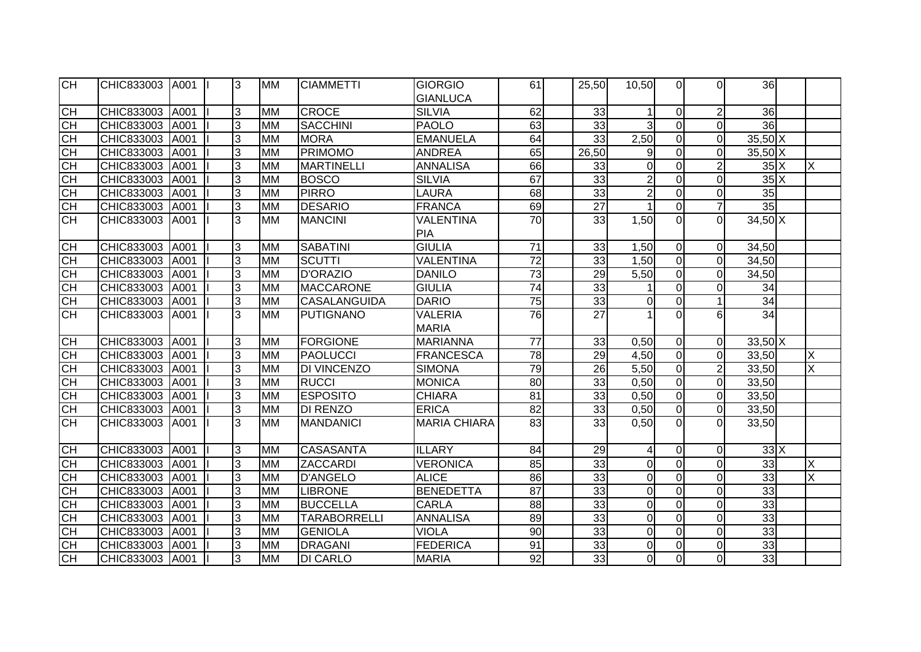| CH        | CHIC833003 | A001 | 3 | <b>MM</b> | <b>CIAMMETTI</b>    | GIORGIO             | 61              | 25,50           | 10,50          | $\Omega$       | $\Omega$       | 36                    |                         |
|-----------|------------|------|---|-----------|---------------------|---------------------|-----------------|-----------------|----------------|----------------|----------------|-----------------------|-------------------------|
|           |            |      |   |           |                     | <b>GIANLUCA</b>     |                 |                 |                |                |                |                       |                         |
| <b>CH</b> | CHIC833003 | A001 | 3 | <b>MM</b> | <b>CROCE</b>        | <b>SILVIA</b>       | 62              | 33              | 1              | $\overline{0}$ | $\overline{2}$ | 36                    |                         |
| <b>CH</b> | CHIC833003 | A001 | 3 | <b>MM</b> | <b>SACCHINI</b>     | <b>PAOLO</b>        | 63              | 33              | 3              | $\overline{0}$ | $\mathbf 0$    | 36                    |                         |
| <b>CH</b> | CHIC833003 | A001 | 3 | <b>MM</b> | <b>MORA</b>         | <b>EMANUELA</b>     | 64              | 33              | 2,50           | $\overline{0}$ | $\Omega$       | $35,50$ X             |                         |
| <b>CH</b> | CHIC833003 | A001 | 3 | <b>MM</b> | <b>PRIMOMO</b>      | <b>ANDREA</b>       | 65              | 26,50           | 9              | $\overline{0}$ | $\Omega$       | $35,50$ X             |                         |
| СH        | CHIC833003 | A001 | 3 | <b>MM</b> | <b>MARTINELLI</b>   | <b>ANNALISA</b>     | 66              | 33              | $\overline{0}$ | $\overline{0}$ | $\overline{2}$ | $35\overline{\times}$ | X                       |
| <b>CH</b> | CHIC833003 | A001 | 3 | <b>MM</b> | <b>BOSCO</b>        | <b>SILVIA</b>       | 67              | 33              | $\overline{c}$ | $\Omega$       | $\Omega$       | $35\text{X}$          |                         |
| <b>CH</b> | CHIC833003 | A001 | 3 | <b>MM</b> | <b>PIRRO</b>        | <b>LAURA</b>        | 68              | 33              | $\overline{2}$ | $\overline{0}$ | $\mathbf 0$    | 35                    |                         |
| CH        | CHIC833003 | A001 | 3 | <b>MM</b> | <b>DESARIO</b>      | FRANCA              | 69              | $\overline{27}$ | $\overline{1}$ | $\overline{0}$ | $\overline{7}$ | 35                    |                         |
| CH        | CHIC833003 | A001 | 3 | <b>MM</b> | <b>MANCINI</b>      | <b>VALENTINA</b>    | 70              | 33              | 1,50           | $\Omega$       | $\Omega$       | $34,50$ X             |                         |
|           |            |      |   |           |                     | PIA                 |                 |                 |                |                |                |                       |                         |
| <b>CH</b> | CHIC833003 | A001 | 3 | <b>MM</b> | <b>SABATINI</b>     | <b>GIULIA</b>       | 71              | 33              | 1,50           | $\overline{0}$ | $\overline{0}$ | 34,50                 |                         |
| <b>CH</b> | CHIC833003 | A001 | 3 | <b>MM</b> | <b>SCUTTI</b>       | <b>VALENTINA</b>    | $\overline{72}$ | 33              | 1,50           | $\overline{0}$ | $\overline{0}$ | 34,50                 |                         |
| CH        | CHIC833003 | A001 | 3 | <b>MM</b> | <b>D'ORAZIO</b>     | <b>DANILO</b>       | $\overline{73}$ | 29              | 5,50           | $\overline{0}$ | $\Omega$       | 34,50                 |                         |
| E         | CHIC833003 | A001 | 3 | <b>MM</b> | <b>MACCARONE</b>    | <b>GIULIA</b>       | $\overline{74}$ | 33              |                | $\mathbf 0$    | $\Omega$       | 34                    |                         |
| CH        | CHIC833003 | A001 | 3 | <b>MM</b> | <b>CASALANGUIDA</b> | <b>DARIO</b>        | 75              | 33              | $\overline{0}$ | $\mathbf 0$    |                | $\overline{34}$       |                         |
| CH        | CHIC833003 | A001 | 3 | <b>MM</b> | <b>PUTIGNANO</b>    | <b>VALERIA</b>      | 76              | 27              | 1              | $\Omega$       | 6              | 34                    |                         |
|           |            |      |   |           |                     | <b>MARIA</b>        |                 |                 |                |                |                |                       |                         |
| <b>CH</b> | CHIC833003 | A001 | 3 | <b>MM</b> | <b>FORGIONE</b>     | <b>MARIANNA</b>     | $\overline{77}$ | 33              | 0,50           | $\overline{0}$ | $\overline{0}$ | $33,50$ X             |                         |
| <b>CH</b> | CHIC833003 | A001 | 3 | <b>MM</b> | <b>PAOLUCCI</b>     | <b>FRANCESCA</b>    | $\overline{78}$ | 29              | 4,50           | $\overline{0}$ | $\overline{0}$ | 33,50                 | X                       |
| <b>CH</b> | CHIC833003 | A001 | 3 | <b>MM</b> | <b>DI VINCENZO</b>  | <b>SIMONA</b>       | $\overline{79}$ | 26              | 5,50           | $\overline{0}$ | $\overline{2}$ | 33,50                 | X                       |
| CH        | CHIC833003 | A001 | 3 | <b>MM</b> | <b>RUCCI</b>        | <b>MONICA</b>       | 80              | 33              | 0,50           | $\mathbf 0$    | $\overline{0}$ | 33,50                 |                         |
| E         | CHIC833003 | A001 | 3 | <b>MM</b> | <b>ESPOSITO</b>     | <b>CHIARA</b>       | 81              | 33              | 0,50           | $\pmb{0}$      | $\overline{0}$ | 33,50                 |                         |
| <b>CH</b> | CHIC833003 | A001 | 3 | <b>MM</b> | <b>DI RENZO</b>     | <b>ERICA</b>        | 82              | 33              | 0,50           | $\pmb{0}$      | $\overline{0}$ | 33,50                 |                         |
| <b>CH</b> | CHIC833003 | A001 | 3 | <b>MM</b> | <b>MANDANICI</b>    | <b>MARIA CHIARA</b> | 83              | 33              | 0,50           | $\Omega$       | $\Omega$       | 33,50                 |                         |
|           |            |      |   |           |                     |                     |                 |                 |                |                |                |                       |                         |
| <b>CH</b> | CHIC833003 | A001 | 3 | <b>MM</b> | <b>CASASANTA</b>    | <b>ILLARY</b>       | 84              | 29              | 4              | $\mathbf 0$    | $\mathbf 0$    | 33X                   |                         |
| <b>CH</b> | CHIC833003 | A001 | 3 | <b>MM</b> | ZACCARDI            | <b>VERONICA</b>     | 85              | 33              | $\overline{0}$ | $\overline{0}$ | $\mathbf 0$    | 33                    | X                       |
| <b>CH</b> | CHIC833003 | A001 | 3 | <b>MM</b> | <b>D'ANGELO</b>     | <b>ALICE</b>        | 86              | 33              | $\overline{0}$ | $\overline{0}$ | $\Omega$       | 33                    | $\overline{\mathsf{x}}$ |
| <b>CH</b> | CHIC833003 | A001 | 3 | <b>MM</b> | <b>LIBRONE</b>      | <b>BENEDETTA</b>    | $\overline{87}$ | 33              | $\overline{0}$ | $\mathbf 0$    | $\mathbf 0$    | 33                    |                         |
| СH        | CHIC833003 | A001 | 3 | <b>MM</b> | <b>BUCCELLA</b>     | <b>CARLA</b>        | 88              | 33              | $\overline{0}$ | $\overline{0}$ | $\Omega$       | 33                    |                         |
| <b>CH</b> | CHIC833003 | A001 | 3 | <b>MM</b> | <b>TARABORRELLI</b> | <b>ANNALISA</b>     | 89              | 33              | $\overline{0}$ | $\overline{0}$ | $\Omega$       | 33                    |                         |
| <b>CH</b> | CHIC833003 | A001 | 3 | <b>MM</b> | <b>GENIOLA</b>      | <b>VIOLA</b>        | 90              | 33              | $\overline{0}$ | $\overline{0}$ | $\mathbf 0$    | 33                    |                         |
| <b>CH</b> | CHIC833003 | A001 | 3 | <b>MM</b> | <b>DRAGANI</b>      | <b>FEDERICA</b>     | 91              | 33              | $\overline{0}$ | 0              | $\Omega$       | 33                    |                         |
| <b>CH</b> | CHIC833003 | A001 | 3 | <b>MM</b> | <b>DI CARLO</b>     | <b>MARIA</b>        | $\overline{92}$ | 33              | $\overline{0}$ | $\overline{0}$ | $\Omega$       | 33                    |                         |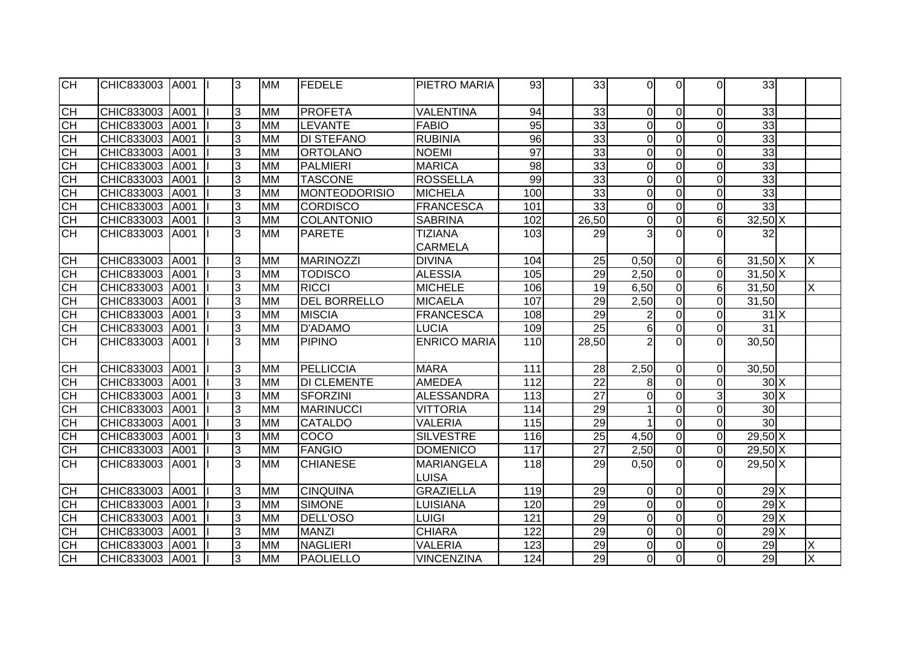| CH        | CHIC833003 | A001 | 3 | <b>MM</b> | <b>FEDELE</b>        | PIETRO MARIA                     | 93  | 33              | $\Omega$       | ΩI             | $\Omega$         | 33              |                |
|-----------|------------|------|---|-----------|----------------------|----------------------------------|-----|-----------------|----------------|----------------|------------------|-----------------|----------------|
| <b>CH</b> | CHIC833003 | A001 | 3 | <b>MM</b> | <b>PROFETA</b>       | <b>VALENTINA</b>                 | 94  | 33              | $\mathbf 0$    | $\overline{0}$ | $\overline{0}$   | 33              |                |
| <b>CH</b> | CHIC833003 | A001 | 3 | <b>MM</b> | <b>LEVANTE</b>       | <b>FABIO</b>                     | 95  | 33              | $\overline{0}$ | $\overline{0}$ | $\overline{0}$   | 33              |                |
| CH        | CHIC833003 | A001 | 3 | <b>MM</b> | <b>DI STEFANO</b>    | <b>RUBINIA</b>                   | 96  | 33              | $\mathbf 0$    | $\overline{0}$ | $\overline{0}$   | 33              |                |
| CН        | CHIC833003 | A001 | 3 | <b>MM</b> | <b>ORTOLANO</b>      | <b>NOEMI</b>                     | 97  | 33              | $\mathbf 0$    | $\overline{0}$ | $\Omega$         | 33              |                |
| <b>CH</b> | CHIC833003 | A001 | 3 | <b>MM</b> | <b>PALMIERI</b>      | <b>MARICA</b>                    | 98  | 33              | $\overline{0}$ | $\overline{0}$ | $\overline{0}$   | 33              |                |
| <b>CH</b> | CHIC833003 | A001 | 3 | <b>MM</b> | <b>TASCONE</b>       | <b>ROSSELLA</b>                  | 99  | 33              | $\overline{0}$ | $\overline{0}$ | $\overline{0}$   | 33              |                |
| <b>CH</b> | CHIC833003 | A001 | 3 | <b>MM</b> | <b>MONTEODORISIO</b> | <b>MICHELA</b>                   | 100 | 33              | $\overline{0}$ | $\overline{0}$ | $\overline{0}$   | 33              |                |
| <b>CH</b> | CHIC833003 | A001 | 3 | <b>MM</b> | <b>CORDISCO</b>      | <b>FRANCESCA</b>                 | 101 | 33              | $\mathbf 0$    | $\overline{0}$ | $\mathbf 0$      | 33              |                |
| <b>CH</b> | CHIC833003 | A001 | 3 | <b>MM</b> | <b>COLANTONIO</b>    | <b>SABRINA</b>                   | 102 | 26,50           | $\mathbf 0$    | $\overline{0}$ | $6 \overline{6}$ | $32,50$ X       |                |
| <b>CH</b> | CHIC833003 | A001 | 3 | <b>MM</b> | <b>PARETE</b>        | <b>TIZIANA</b><br><b>CARMELA</b> | 103 | 29              | 3              | $\Omega$       | $\Omega$         | 32              |                |
| CH        | CHIC833003 | A001 | 3 | <b>MM</b> | <b>MARINOZZI</b>     | <b>DIVINA</b>                    | 104 | 25              | 0,50           | $\overline{0}$ | $6 \mid$         | $31,50$ X       | X              |
| <b>CH</b> | CHIC833003 | A001 | 3 | <b>MM</b> | <b>TODISCO</b>       | <b>ALESSIA</b>                   | 105 | 29              | 2,50           | $\overline{0}$ | $\overline{0}$   | $31,50$ X       |                |
| CH        | CHIC833003 | A001 | 3 | <b>MM</b> | <b>RICCI</b>         | <b>MICHELE</b>                   | 106 | 19              | 6,50           | $\Omega$       | $6 \mid$         | 31,50           | Χ              |
| СH        | CHIC833003 | A001 | 3 | <b>MM</b> | <b>DEL BORRELLO</b>  | <b>MICAELA</b>                   | 107 | 29              | 2,50           | $\overline{0}$ | $\overline{0}$   | 31,50           |                |
| СH        | CHIC833003 | A001 | 3 | <b>MM</b> | <b>MISCIA</b>        | <b>FRANCESCA</b>                 | 108 | 29              | $\overline{2}$ | $\overline{0}$ | $\overline{0}$   | 31X             |                |
| <b>CH</b> | CHIC833003 | A001 | 3 | <b>MM</b> | D'ADAMO              | <b>LUCIA</b>                     | 109 | 25              | 6              | $\overline{0}$ | $\overline{0}$   | 31              |                |
| CH        | CHIC833003 | A001 | 3 | <b>MM</b> | <b>PIPINO</b>        | <b>ENRICO MARIA</b>              | 110 | 28,50           | $\overline{2}$ | $\Omega$       | $\Omega$         | 30,50           |                |
| <b>CH</b> | CHIC833003 | A001 | 3 | <b>MM</b> | PELLICCIA            | <b>MARA</b>                      | 111 | 28              | 2,50           | $\overline{0}$ | $\overline{0}$   | 30,50           |                |
| <b>CH</b> | CHIC833003 | A001 | 3 | <b>MM</b> | <b>DI CLEMENTE</b>   | <b>AMEDEA</b>                    | 112 | 22              | 8              | $\overline{0}$ | $\overline{0}$   | 30X             |                |
| <b>CH</b> | CHIC833003 | A001 | 3 | <b>MM</b> | <b>SFORZINI</b>      | <b>ALESSANDRA</b>                | 113 | 27              | $\mathbf 0$    | $\overline{0}$ | $\overline{3}$   | $30\text{X}$    |                |
| <b>CH</b> | CHIC833003 | A001 | 3 | <b>MM</b> | <b>MARINUCCI</b>     | <b>VITTORIA</b>                  | 114 | 29              | $\mathbf{1}$   | $\Omega$       | $\overline{0}$   | 30              |                |
| <b>CH</b> | CHIC833003 | A001 | 3 | <b>MM</b> | CATALDO              | <b>VALERIA</b>                   | 115 | 29              | $\mathbf{1}$   | $\overline{0}$ | $\overline{0}$   | 30 <sub>1</sub> |                |
| <b>CH</b> | CHIC833003 | A001 | 3 | <b>MM</b> | COCO                 | <b>SILVESTRE</b>                 | 116 | 25              | 4,50           | $\overline{0}$ | $\overline{0}$   | $29,50$ X       |                |
| <b>CH</b> | CHIC833003 | A001 | 3 | <b>MM</b> | <b>FANGIO</b>        | <b>DOMENICO</b>                  | 117 | $\overline{27}$ | 2,50           | $\overline{0}$ | $\overline{0}$   | $29,50$ X       |                |
| <b>CH</b> | CHIC833003 | A001 | 3 | <b>MM</b> | <b>CHIANESE</b>      | <b>MARIANGELA</b>                | 118 | 29              | 0,50           | $\Omega$       | $\Omega$         | $29,50$ X       |                |
|           |            |      |   |           |                      | <b>LUISA</b>                     |     |                 |                |                |                  |                 |                |
| <b>CH</b> | CHIC833003 | A001 | 3 | <b>MM</b> | <b>CINQUINA</b>      | <b>GRAZIELLA</b>                 | 119 | 29              | $\mathbf 0$    | $\Omega$       | $\Omega$         | $29$ $X$        |                |
| <b>CH</b> | CHIC833003 | A001 | 3 | <b>MM</b> | <b>SIMONE</b>        | LUISIANA                         | 120 | 29              | $\overline{0}$ | $\overline{0}$ | $\overline{0}$   | 29X             |                |
| <b>CH</b> | CHIC833003 | A001 | 3 | <b>MM</b> | DELL'OSO             | LUIGI                            | 121 | 29              | $\mathbf 0$    | $\overline{0}$ | $\mathbf 0$      | 29X             |                |
| СH        | CHIC833003 | A001 | 3 | <b>MM</b> | <b>MANZI</b>         | <b>CHIARA</b>                    | 122 | 29              | $\overline{0}$ | $\overline{0}$ | $\overline{0}$   | $29$ $X$        |                |
| СH        | CHIC833003 | A001 | 3 | <b>MM</b> | <b>NAGLIERI</b>      | <b>VALERIA</b>                   | 123 | 29              | $\mathbf 0$    | $\overline{0}$ | $\mathbf 0$      | 29              | X              |
| <b>CH</b> | CHIC833003 | A001 | 3 | <b>MM</b> | <b>PAOLIELLO</b>     | <b>VINCENZINA</b>                | 124 | $\overline{29}$ | 0              | $\overline{0}$ | $\overline{0}$   | 29              | $\overline{X}$ |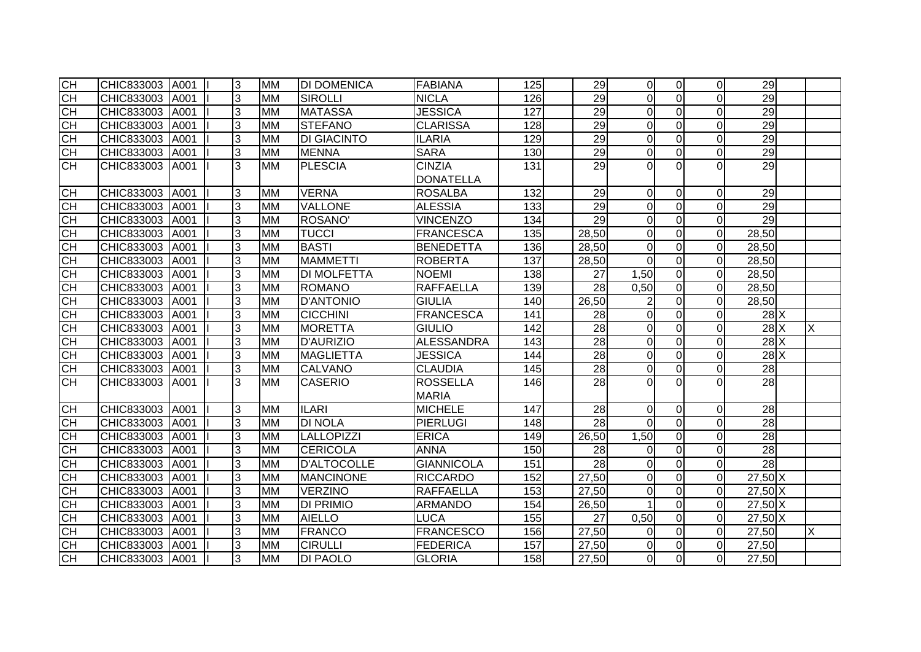| Я                | CHIC833003 A001 |      | 3 | <b>MM</b> | <b>DI DOMENICA</b> | <b>FABIANA</b>    | 125              | 29              | 0l               | $\Omega$       | $\overline{0}$ | 29              |   |
|------------------|-----------------|------|---|-----------|--------------------|-------------------|------------------|-----------------|------------------|----------------|----------------|-----------------|---|
| CH               | CHIC833003      | A001 | 3 | <b>MM</b> | <b>SIROLLI</b>     | <b>NICLA</b>      | 126              | 29              | $\overline{0}$   | $\overline{0}$ | $\Omega$       | 29              |   |
| CH               | CHIC833003      | A001 | 3 | <b>MM</b> | <b>MATASSA</b>     | <b>JESSICA</b>    | $\overline{127}$ | 29              | $\overline{0}$   | $\overline{0}$ | $\Omega$       | 29              |   |
| <b>CH</b>        | CHIC833003      | A001 | 3 | <b>MM</b> | <b>STEFANO</b>     | <b>CLARISSA</b>   | 128              | 29              | $\mathbf 0$      | $\overline{0}$ | $\Omega$       | $\overline{29}$ |   |
| E                | CHIC833003      | A001 | 3 | <b>MM</b> | <b>DI GIACINTO</b> | <b>ILARIA</b>     | 129              | $\overline{29}$ | $\overline{0}$   | $\mathbf 0$    | $\Omega$       | 29              |   |
| <b>CH</b>        | CHIC833003      | A001 | 3 | <b>MM</b> | <b>MENNA</b>       | <b>SARA</b>       | 130              | $\overline{29}$ | 0                | $\overline{0}$ | $\overline{0}$ | 29              |   |
| <b>CH</b>        | CHIC833003      | A001 | 3 | <b>MM</b> | <b>PLESCIA</b>     | <b>CINZIA</b>     | 131              | $\overline{29}$ | $\overline{0}$   | $\Omega$       | $\Omega$       | 29              |   |
|                  |                 |      |   |           |                    | <b>DONATELLA</b>  |                  |                 |                  |                |                |                 |   |
| CH               | CHIC833003      | A001 | 3 | <b>MM</b> | <b>VERNA</b>       | <b>ROSALBA</b>    | 132              | 29              | $\overline{0}$   | $\Omega$       | $\Omega$       | 29              |   |
| СH               | CHIC833003 A001 |      | 3 | <b>MM</b> | <b>VALLONE</b>     | <b>ALESSIA</b>    | 133              | 29              | $\boldsymbol{0}$ | $\Omega$       | $\Omega$       | 29              |   |
| СH               | CHIC833003      | A001 | 3 | <b>MM</b> | ROSANO'            | <b>VINCENZO</b>   | 134              | 29              | $\overline{0}$   | $\Omega$       | $\Omega$       | 29              |   |
| $\overline{C}$ H | CHIC833003 A001 |      | 3 | <b>MM</b> | <b>TUCCI</b>       | <b>FRANCESCA</b>  | 135              | 28,50           | $\overline{0}$   | $\overline{0}$ | $\overline{0}$ | 28,50           |   |
|                  | CHIC833003      | A001 | 3 | <b>MM</b> | <b>BASTI</b>       | <b>BENEDETTA</b>  | 136              | 28,50           | 0                | $\overline{0}$ | $\Omega$       | 28,50           |   |
| 공공               | CHIC833003      | A001 | 3 | <b>MM</b> | <b>MAMMETTI</b>    | <b>ROBERTA</b>    | 137              | 28,50           | $\mathbf 0$      | $\overline{0}$ | $\overline{0}$ | 28,50           |   |
| H                | CHIC833003      | A001 | 3 | <b>MM</b> | <b>DI MOLFETTA</b> | <b>NOEMI</b>      | 138              | 27              | 1,50             | $\mathbf 0$    | $\Omega$       | 28,50           |   |
| Е                | CHIC833003      | A001 | 3 | <b>MM</b> | <b>ROMANO</b>      | <b>RAFFAELLA</b>  | 139              | 28              | 0.50             | $\Omega$       | $\Omega$       | 28,50           |   |
| CH               | CHIC833003      | A001 | 3 | <b>MM</b> | <b>D'ANTONIO</b>   | <b>GIULIA</b>     | 140              | 26,50           | $\overline{c}$   | $\overline{0}$ | $\Omega$       | 28,50           |   |
| Е                | CHIC833003      | A001 | 3 | <b>MM</b> | <b>CICCHINI</b>    | <b>FRANCESCA</b>  | 141              | 28              | $\mathbf 0$      | $\overline{0}$ | $\Omega$       | $28$ $X$        |   |
| Е                | CHIC833003      | A001 | 3 | <b>MM</b> | <b>MORETTA</b>     | <b>GIULIO</b>     | 142              | 28              | 0                | $\overline{0}$ | $\Omega$       | $28$ $X$        | X |
| СH               | CHIC833003      | A001 | 3 | <b>MM</b> | <b>D'AURIZIO</b>   | <b>ALESSANDRA</b> | 143              | 28              | 0                | $\mathbf 0$    | $\Omega$       | $28$ $\times$   |   |
| <b>CH</b>        | CHIC833003      | A001 | 3 | <b>MM</b> | <b>MAGLIETTA</b>   | <b>JESSICA</b>    | 144              | $\overline{28}$ | $\mathbf 0$      | $\overline{0}$ | $\overline{0}$ | $28$ $\times$   |   |
| <b>CH</b>        | CHIC833003      | A001 | 3 | <b>MM</b> | <b>CALVANO</b>     | <b>CLAUDIA</b>    | 145              | 28              | $\overline{0}$   | $\overline{0}$ | $\overline{0}$ | 28              |   |
| <b>CH</b>        | CHIC833003      | A001 | 3 | <b>MM</b> | <b>CASERIO</b>     | <b>ROSSELLA</b>   | 146              | 28              | $\overline{0}$   | $\Omega$       | $\Omega$       | 28              |   |
|                  |                 |      |   |           |                    | <b>MARIA</b>      |                  |                 |                  |                |                |                 |   |
| СH               | CHIC833003      | A001 | 3 | <b>MM</b> | <b>ILARI</b>       | <b>MICHELE</b>    | 147              | 28              | $\overline{0}$   | $\mathbf 0$    | $\mathbf 0$    | 28              |   |
| <b>CH</b>        | CHIC833003 A001 |      | 3 | <b>MM</b> | <b>DI NOLA</b>     | PIERLUGI          | 148              | 28              | $\overline{0}$   | $\overline{0}$ | $\overline{0}$ | 28              |   |
| CH               | CHIC833003 A001 |      | 3 | <b>MM</b> | <b>LALLOPIZZI</b>  | <b>ERICA</b>      | 149              | 26,50           | 1,50             | $\overline{0}$ | $\overline{0}$ | 28              |   |
| CH               | CHIC833003      | A001 | 3 | <b>MM</b> | <b>CERICOLA</b>    | <b>ANNA</b>       | 150              | $\overline{28}$ | $\mathbf 0$      | $\Omega$       | $\overline{0}$ | 28              |   |
| СH               | CHIC833003      | A001 | 3 | <b>MM</b> | <b>D'ALTOCOLLE</b> | <b>GIANNICOLA</b> | 151              | $\overline{28}$ | $\overline{0}$   | $\overline{0}$ | $\Omega$       | 28              |   |
| <b>CH</b>        | CHIC833003      | A001 | 3 | <b>MM</b> | <b>MANCINONE</b>   | <b>RICCARDO</b>   | 152              | 27,50           | $\overline{0}$   | $\mathbf 0$    | $\Omega$       | 27,50 X         |   |
| CH               | CHIC833003      | A001 | 3 | <b>MM</b> | <b>VERZINO</b>     | <b>RAFFAELLA</b>  | 153              | 27,50           | $\mathbf 0$      | $\overline{0}$ | $\Omega$       | $27,50$ X       |   |
| CH               | CHIC833003      | A001 | 3 | <b>MM</b> | <b>DI PRIMIO</b>   | <b>ARMANDO</b>    | 154              | 26,50           | 1                | $\overline{0}$ | $\overline{0}$ | $27,50$ X       |   |
| CH               | CHIC833003      | A001 | 3 | <b>MM</b> | <b>AIELLO</b>      | <b>LUCA</b>       | 155              | 27              | 0,50             | $\overline{0}$ | $\Omega$       | $27,50$ X       |   |
| <b>CH</b>        | CHIC833003      | A001 | 3 | <b>MM</b> | <b>FRANCO</b>      | <b>FRANCESCO</b>  | 156              | 27,50           | 0                | $\overline{0}$ | $\overline{0}$ | 27,50           | X |
| <b>CH</b>        | CHIC833003      | A001 | 3 | <b>MM</b> | <b>CIRULLI</b>     | <b>FEDERICA</b>   | 157              | 27,50           | 0                | $\mathbf 0$    | $\Omega$       | 27,50           |   |
| SH               | CHIC833003      | A001 | 3 | <b>MM</b> | <b>DI PAOLO</b>    | <b>GLORIA</b>     | 158              | 27,50           | $\overline{0}$   | $\overline{0}$ | $\Omega$       | 27,50           |   |
|                  |                 |      |   |           |                    |                   |                  |                 |                  |                |                |                 |   |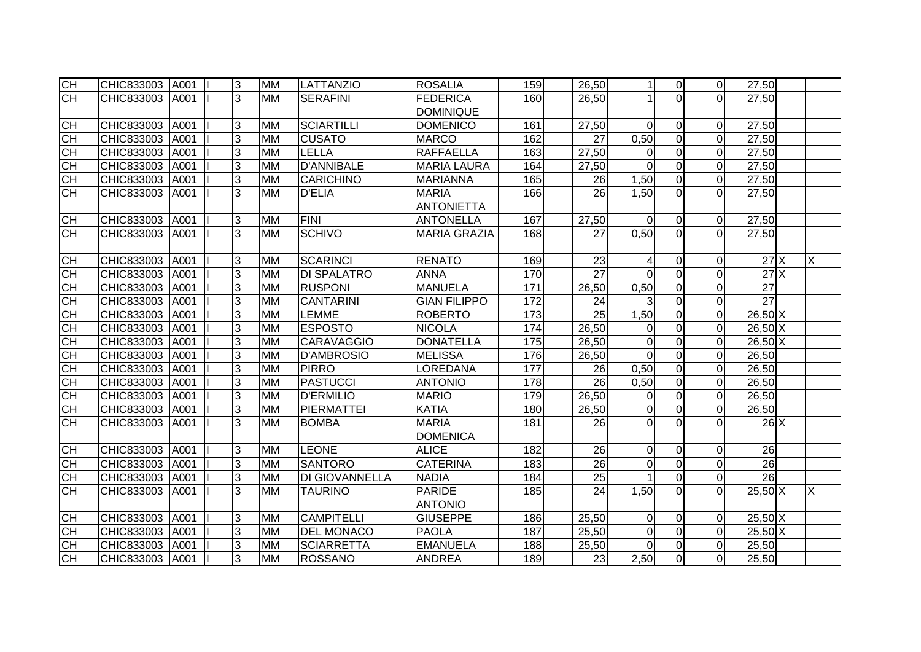| <b>CH</b> | CHIC833003 | A001 | 3 | <b>MM</b> | <b>LATTANZIO</b>   | <b>ROSALIA</b>      | 159 | 26,50           | 1                | $\overline{0}$ | $\overline{0}$ | 27,50                      |   |
|-----------|------------|------|---|-----------|--------------------|---------------------|-----|-----------------|------------------|----------------|----------------|----------------------------|---|
| CH        | CHIC833003 | A001 | 3 | <b>MM</b> | <b>SERAFINI</b>    | <b>FEDERICA</b>     | 160 | 26,50           |                  | $\Omega$       | $\Omega$       | $\overline{27,50}$         |   |
|           |            |      |   |           |                    | <b>DOMINIQUE</b>    |     |                 |                  |                |                |                            |   |
| <b>CH</b> | CHIC833003 | A001 | 3 | <b>MM</b> | <b>SCIARTILLI</b>  | <b>DOMENICO</b>     | 161 | 27,50           | $\overline{0}$   | $\overline{0}$ | $\overline{0}$ | 27,50                      |   |
| <b>CH</b> | CHIC833003 | A001 | 3 | <b>MM</b> | <b>CUSATO</b>      | <b>MARCO</b>        | 162 | 27              | 0,50             | $\overline{0}$ | $\overline{0}$ | 27,50                      |   |
| <b>CH</b> | CHIC833003 | A001 | 3 | <b>MM</b> | <b>LELLA</b>       | <b>RAFFAELLA</b>    | 163 | 27,50           | 0                | $\overline{0}$ | $\overline{0}$ | 27,50                      |   |
| <b>CH</b> | CHIC833003 | A001 | 3 | <b>MM</b> | <b>D'ANNIBALE</b>  | <b>MARIA LAURA</b>  | 164 | 27,50           | $\Omega$         | $\overline{0}$ | $\overline{0}$ | 27,50                      |   |
| <b>CH</b> | CHIC833003 | A001 | 3 | <b>MM</b> | <b>CARICHINO</b>   | <b>MARIANNA</b>     | 165 | 26              | 1,50             | $\overline{0}$ | $\overline{0}$ | 27,50                      |   |
| CH        | CHIC833003 | A001 | 3 | <b>MM</b> | <b>D'ELIA</b>      | <b>MARIA</b>        | 166 | $\overline{26}$ | 1,50             | $\Omega$       | $\Omega$       | 27,50                      |   |
|           |            |      |   |           |                    | <b>ANTONIETTA</b>   |     |                 |                  |                |                |                            |   |
| <b>CH</b> | CHIC833003 | A001 | 3 | <b>MM</b> | <b>FINI</b>        | <b>ANTONELLA</b>    | 167 | 27,50           | $\mathbf 0$      | $\overline{0}$ | $\overline{0}$ | 27,50                      |   |
| <b>CH</b> | CHIC833003 | A001 | 3 | <b>MM</b> | <b>SCHIVO</b>      | <b>MARIA GRAZIA</b> | 168 | 27              | 0,50             | $\overline{0}$ | $\overline{0}$ | 27,50                      |   |
|           |            |      |   |           |                    |                     |     |                 |                  |                |                |                            |   |
| <b>CH</b> | CHIC833003 | A001 | 3 | <b>MM</b> | <b>SCARINCI</b>    | <b>RENATO</b>       | 169 | 23              | 4                | $\overline{0}$ | $\overline{0}$ | $27$ $X$                   | X |
| CH        | CHIC833003 | A001 | 3 | <b>MM</b> | <b>DI SPALATRO</b> | <b>ANNA</b>         | 170 | $\overline{27}$ | $\Omega$         | $\overline{0}$ | $\overline{0}$ | 27X                        |   |
| H         | CHIC833003 | A001 | 3 | <b>MM</b> | <b>RUSPONI</b>     | <b>MANUELA</b>      | 171 | 26,50           | 0,50             | $\overline{0}$ | $\overline{0}$ | 27                         |   |
| CH        | CHIC833003 | A001 | 3 | <b>MM</b> | <b>CANTARINI</b>   | <b>GIAN FILIPPO</b> | 172 | 24              | 3                | $\overline{0}$ | $\overline{0}$ | 27                         |   |
| <b>CH</b> | CHIC833003 | A001 | 3 | <b>MM</b> | LEMME              | <b>ROBERTO</b>      | 173 | 25              | 1,50             | $\overline{0}$ | $\overline{0}$ | $26,50$ X                  |   |
| <b>CH</b> | CHIC833003 | A001 | 3 | <b>MM</b> | <b>ESPOSTO</b>     | <b>NICOLA</b>       | 174 | 26,50           | $\Omega$         | $\overline{0}$ | $\overline{0}$ | $26,50$ X                  |   |
| <b>CH</b> | CHIC833003 | A001 | 3 | <b>MM</b> | <b>CARAVAGGIO</b>  | <b>DONATELLA</b>    | 175 | 26,50           | $\mathbf 0$      | $\overline{0}$ | $\overline{0}$ | $26,50\overline{\text{X}}$ |   |
| CH        | CHIC833003 | A001 | 3 | <b>MM</b> | <b>D'AMBROSIO</b>  | <b>MELISSA</b>      | 176 | 26,50           | $\overline{0}$   | $\overline{0}$ | $\overline{0}$ | 26,50                      |   |
| <b>CH</b> | CHIC833003 | A001 | 3 | <b>MM</b> | <b>PIRRO</b>       | <b>LOREDANA</b>     | 177 | 26              | 0,50             | $\overline{0}$ | $\overline{0}$ | 26,50                      |   |
| <b>CH</b> | CHIC833003 | A001 | 3 | <b>MM</b> | <b>PASTUCCI</b>    | <b>ANTONIO</b>      | 178 | 26              | 0,50             | $\overline{0}$ | $\overline{0}$ | 26,50                      |   |
| CH        | CHIC833003 | A001 | 3 | <b>MM</b> | <b>D'ERMILIO</b>   | <b>MARIO</b>        | 179 | 26,50           | $\boldsymbol{0}$ | $\overline{0}$ | $\overline{0}$ | 26,50                      |   |
| <b>CH</b> | CHIC833003 | A001 | 3 | <b>MM</b> | <b>PIERMATTEI</b>  | <b>KATIA</b>        | 180 | 26,50           | $\mathbf 0$      | $\overline{0}$ | $\overline{O}$ | 26,50                      |   |
| <b>CH</b> | CHIC833003 | A001 | 3 | <b>MM</b> | <b>BOMBA</b>       | <b>MARIA</b>        | 181 | 26              | $\Omega$         | $\Omega$       | $\Omega$       | $26$ X                     |   |
|           |            |      |   |           |                    | <b>DOMENICA</b>     |     |                 |                  |                |                |                            |   |
| CH        | CHIC833003 | A001 | 3 | <b>MM</b> | <b>LEONE</b>       | <b>ALICE</b>        | 182 | $\overline{26}$ | $\boldsymbol{0}$ | $\overline{0}$ | $\overline{0}$ | $\overline{26}$            |   |
| <b>CH</b> | CHIC833003 | A001 | 3 | <b>MM</b> | <b>SANTORO</b>     | <b>CATERINA</b>     | 183 | $\overline{26}$ | $\mathbf 0$      | $\overline{0}$ | $\overline{0}$ | $\overline{26}$            |   |
| <b>CH</b> | CHIC833003 | A001 | 3 | <b>MM</b> | DI GIOVANNELLA     | <b>NADIA</b>        | 184 | $\overline{25}$ |                  | $\overline{0}$ | $\overline{0}$ | 26                         |   |
| <b>CH</b> | CHIC833003 | A001 | 3 | <b>MM</b> | <b>TAURINO</b>     | <b>PARIDE</b>       | 185 | $\overline{24}$ | 1,50             | $\Omega$       | $\Omega$       | $25,50$ X                  | X |
|           |            |      |   |           |                    | <b>ANTONIO</b>      |     |                 |                  |                |                |                            |   |
| <b>CH</b> | CHIC833003 | A001 | 3 | <b>MM</b> | <b>CAMPITELLI</b>  | <b>GIUSEPPE</b>     | 186 | 25,50           | 0                | $\overline{0}$ | $\Omega$       | $25,50$ X                  |   |
| <b>CH</b> | CHIC833003 | A001 | 3 | <b>MM</b> | <b>DEL MONACO</b>  | <b>PAOLA</b>        | 187 | 25,50           | $\mathbf 0$      | $\overline{0}$ | $\Omega$       | $25,50$ X                  |   |
| <b>CH</b> | CHIC833003 | A001 | 3 | <b>MM</b> | <b>SCIARRETTA</b>  | <b>EMANUELA</b>     | 188 | 25,50           | 0                | $\overline{0}$ | $\overline{0}$ | 25,50                      |   |
| <b>CH</b> | CHIC833003 | A001 | 3 | <b>MM</b> | <b>ROSSANO</b>     | <b>ANDREA</b>       | 189 | 23              | 2,50             | $\overline{0}$ | $\overline{0}$ | 25,50                      |   |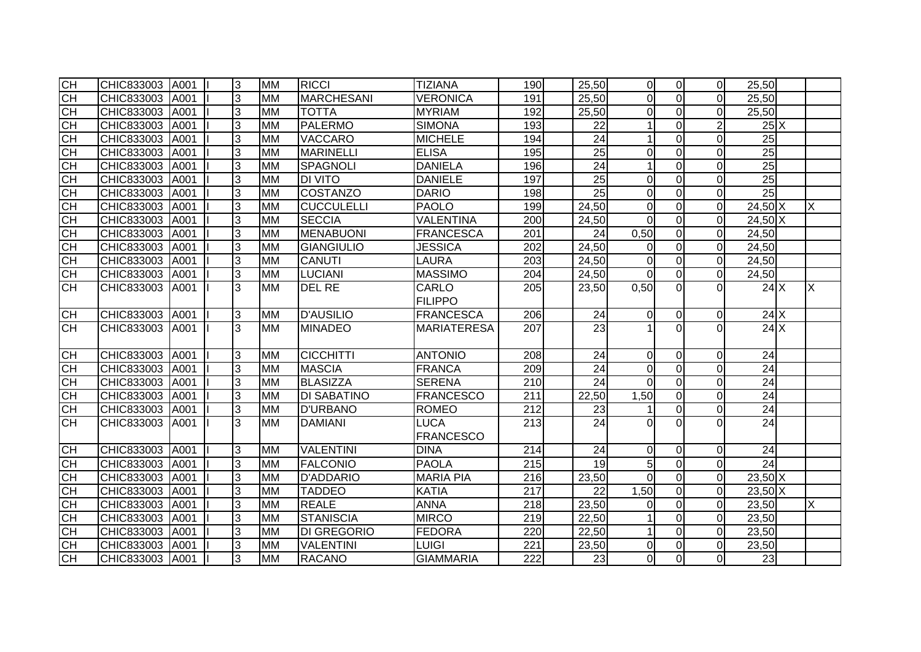| E                | CHIC833003 | A001 | 3 | <b>MM</b> | <b>RICCI</b>       | <b>TIZIANA</b>     | 190              | 25,50 |                 | $\overline{0}$   | $\overline{0}$ | $\Omega$       | 25,50           |   |
|------------------|------------|------|---|-----------|--------------------|--------------------|------------------|-------|-----------------|------------------|----------------|----------------|-----------------|---|
| $\overline{CH}$  | CHIC833003 | A001 | 3 | <b>MM</b> | <b>MARCHESANI</b>  | <b>VERONICA</b>    | 191              | 25,50 |                 | $\overline{0}$   | $\overline{0}$ | $\Omega$       | 25,50           |   |
| CH               | CHIC833003 | A001 | 3 | <b>MM</b> | <b>TOTTA</b>       | <b>MYRIAM</b>      | 192              | 25,50 |                 | 0                | $\overline{0}$ | $\Omega$       | 25,50           |   |
| <b>CH</b>        | CHIC833003 | A001 | 3 | <b>MM</b> | <b>PALERMO</b>     | <b>SIMONA</b>      | 193              |       | 22              | $\mathbf 1$      | $\overline{0}$ | $\overline{2}$ | $25\text{X}$    |   |
| E                | CHIC833003 | A001 | 3 | <b>MM</b> | VACCARO            | <b>MICHELE</b>     | 194              |       | 24              | 1                | $\mathbf 0$    | $\Omega$       | 25              |   |
| <b>CH</b>        | CHIC833003 | A001 | 3 | <b>MM</b> | <b>MARINELLI</b>   | <b>ELISA</b>       | 195              |       | $\overline{25}$ | $\overline{0}$   | $\overline{0}$ | $\mathbf 0$    | 25              |   |
| CH               | CHIC833003 | A001 | 3 | <b>MM</b> | <b>SPAGNOLI</b>    | <b>DANIELA</b>     | 196              |       | $\overline{24}$ | $\mathbf{1}$     | $\Omega$       | $\overline{0}$ | 25              |   |
| CH               | CHIC833003 | A001 | 3 | <b>MM</b> | <b>DI VITO</b>     | <b>DANIELE</b>     | 197              |       | $\overline{25}$ | $\mathbf 0$      | $\overline{0}$ | $\overline{0}$ | $\overline{25}$ |   |
| <b>CH</b>        | CHIC833003 | A001 | 3 | <b>MM</b> | COSTANZO           | <b>DARIO</b>       | 198              |       | $\overline{25}$ | $\mathbf 0$      | $\overline{0}$ | $\Omega$       | 25              |   |
| СH               | CHIC833003 | A001 | 3 | <b>MM</b> | <b>CUCCULELLI</b>  | <b>PAOLO</b>       | 199              | 24,50 |                 | $\boldsymbol{0}$ | $\mathbf 0$    | $\Omega$       | 24,50 X         | X |
| $\overline{CH}$  | CHIC833003 | A001 | 3 | <b>MM</b> | <b>SECCIA</b>      | VALENTINA          | 200              | 24,50 |                 | $\Omega$         | $\Omega$       | $\Omega$       | 24,50 X         |   |
| $\overline{C}$ H | CHIC833003 | A001 | 3 | <b>MM</b> | MENABUONI          | <b>FRANCESCA</b>   | 201              |       | 24              | 0,50             | $\overline{0}$ | $\overline{0}$ | 24,50           |   |
| 공공               | CHIC833003 | A001 | 3 | <b>MM</b> | <b>GIANGIULIO</b>  | <b>JESSICA</b>     | 202              | 24,50 |                 | 0                | $\overline{0}$ | $\overline{0}$ | 24,50           |   |
|                  | CHIC833003 | A001 | 3 | <b>MM</b> | <b>CANUTI</b>      | <b>LAURA</b>       | 203              | 24,50 |                 | $\mathbf 0$      | $\overline{0}$ | $\overline{0}$ | 24,50           |   |
| CH               | CHIC833003 | A001 | 3 | <b>MM</b> | <b>LUCIANI</b>     | <b>MASSIMO</b>     | 204              | 24,50 |                 | $\overline{0}$   | $\mathbf 0$    | $\overline{0}$ | 24,50           |   |
| СH               | CHIC833003 | A001 | 3 | <b>MM</b> | <b>DEL RE</b>      | CARLO              | 205              | 23,50 |                 | 0,50             | $\Omega$       |                | 24X             | X |
|                  |            |      |   |           |                    | <b>FILIPPO</b>     |                  |       |                 |                  |                |                |                 |   |
| CH               | CHIC833003 | A001 | 3 | <b>MM</b> | <b>D'AUSILIO</b>   | <b>FRANCESCA</b>   | 206              |       | 24              | $\overline{0}$   | $\mathbf 0$    | $\mathbf 0$    | 24X             |   |
| <b>CH</b>        | CHIC833003 | A001 | 3 | <b>MM</b> | <b>MINADEO</b>     | <b>MARIATERESA</b> | 207              |       | 23              | 1                | $\Omega$       | $\Omega$       | 24X             |   |
|                  |            |      |   |           |                    |                    |                  |       |                 |                  |                |                |                 |   |
| <b>CH</b>        | CHIC833003 | A001 | 3 | <b>MM</b> | <b>CICCHITTI</b>   | <b>ANTONIO</b>     | 208              |       | 24              | $\overline{0}$   | $\overline{0}$ | $\Omega$       | 24              |   |
| <b>CH</b>        | CHIC833003 | A001 | 3 | <b>MM</b> | <b>MASCIA</b>      | <b>FRANCA</b>      | 209              |       | 24              | $\overline{0}$   | $\overline{0}$ | $\overline{0}$ | 24              |   |
| <b>CH</b>        | CHIC833003 | A001 | 3 | <b>MM</b> | <b>BLASIZZA</b>    | <b>SERENA</b>      | 210              |       | 24              | $\Omega$         | $\overline{0}$ | $\overline{0}$ | 24              |   |
| CH               | CHIC833003 | A001 | 3 | <b>MM</b> | <b>DI SABATINO</b> | <b>FRANCESCO</b>   | 211              | 22,50 |                 | 1,50             | $\overline{0}$ | $\overline{0}$ | 24              |   |
| CH               | CHIC833003 | A001 | 3 | <b>MM</b> | <b>D'URBANO</b>    | <b>ROMEO</b>       | 212              |       | 23              | 1                | $\mathbf 0$    | $\mathbf 0$    | 24              |   |
| <b>CH</b>        | CHIC833003 | A001 | 3 | <b>MM</b> | <b>DAMIANI</b>     | <b>LUCA</b>        | 213              |       | 24              | 0                | $\Omega$       | $\Omega$       | 24              |   |
|                  |            |      |   |           |                    | <b>FRANCESCO</b>   |                  |       |                 |                  |                |                |                 |   |
| СH               | CHIC833003 | A001 | 3 | <b>MM</b> | <b>VALENTINI</b>   | <b>DINA</b>        | 214              |       | $\overline{24}$ | $\overline{0}$   | $\overline{0}$ | $\overline{0}$ | $\overline{24}$ |   |
| СH               | CHIC833003 | A001 | 3 | <b>MM</b> | <b>FALCONIO</b>    | <b>PAOLA</b>       | 215              |       | $\overline{19}$ | $\overline{5}$   | $\overline{0}$ | $\overline{0}$ | 24              |   |
| <b>CH</b>        | CHIC833003 | A001 | 3 | <b>MM</b> | <b>D'ADDARIO</b>   | <b>MARIA PIA</b>   | 216              | 23,50 |                 | $\mathbf 0$      | $\mathbf 0$    | $\Omega$       | $23,50$ X       |   |
| <b>CH</b>        | CHIC833003 | A001 | 3 | <b>MM</b> | <b>TADDEO</b>      | <b>KATIA</b>       | $\overline{217}$ |       | 22              | 1,50             | $\overline{0}$ | $\Omega$       | $23,50$ X       |   |
| CH               | CHIC833003 | A001 | 3 | <b>MM</b> | <b>REALE</b>       | <b>ANNA</b>        | 218              | 23,50 |                 | 0                | $\overline{0}$ | $\overline{0}$ | 23,50           | X |
| CH               | CHIC833003 | A001 | 3 | <b>MM</b> | <b>STANISCIA</b>   | <b>MIRCO</b>       | 219              | 22,50 |                 | 1                | $\overline{0}$ | $\Omega$       | 23,50           |   |
| <b>CH</b>        | CHIC833003 | A001 | 3 | <b>MM</b> | <b>DI GREGORIO</b> | <b>FEDORA</b>      | 220              | 22,50 |                 | $\mathbf 1$      | $\overline{0}$ | $\overline{0}$ | 23,50           |   |
| <b>CH</b>        | CHIC833003 | A001 | 3 | <b>MM</b> | <b>VALENTINI</b>   | LUIGI              | 221              | 23,50 |                 | $\boldsymbol{0}$ | $\mathbf 0$    | $\Omega$       | 23,50           |   |
| СH               | CHIC833003 | A001 | 3 | <b>MM</b> | <b>RACANO</b>      | <b>GIAMMARIA</b>   | 222              |       | 23              | $\overline{0}$   | $\overline{0}$ | $\Omega$       | 23              |   |
|                  |            |      |   |           |                    |                    |                  |       |                 |                  |                |                |                 |   |